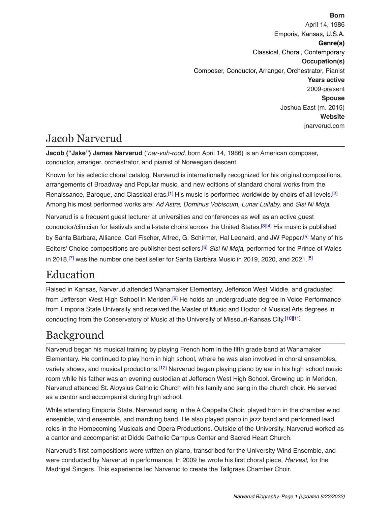**Born** April 14, 1986 Emporia, Kansas, U.S.A. **Genre(s)**  Classical, Choral, Contemporary **Occupation(s)** Composer, Conductor, Arranger, Orchestrator, Pianist **Years active** 2009-present **Spouse**  Joshua East (m. 2015) **Website**  [jnarverud.com](http://www.jnarverud.com) 

## Jacob Narverud

**Jacob ("Jake") James Narverud** ('*nar-vuh-rood*, born April 14, 1986) is an American composer, conductor, arranger, orchestrator, and pianist of Norwegian descent.

Known for his eclectic choral catalog, Narverud is internationally recognized for his original compositions, arrangements of Broadway and Popular music, and new editions of standard choral works from the Renaissance, Baroque, and Classical eras.<sup>[1]</sup> His music is performed worldwide by choirs of all levels.<sup>[2]</sup> Among his most performed works are: *Ad Astra, Dominus Vobiscum, Lunar Lullaby,* and *Sisi Ni Moja*.

Narverud is a frequent guest lecturer at universities and conferences as well as an active guest conductor/clinician for festivals and all-state choirs across the United States.[\[3\]](https://www.halleonard.com/biographyDisplay.action?id=411&subsiteid=1)[\[4\]](https://www.facebook.com/events/rehearsal-hall-104-mason-gross-school-of-the-arts/dr-jake-narverud-commisioning-a-new-choral-work/2657480504334164/) His music is published by Santa Barbara, Alliance, Carl Fischer, Alfred, G. Schirmer, Hal Leonard, and JW Pepper[.\[5\]](http://www.expertclinician.com/choral/dr-jacob-narverud) Many of his Editors' Choice compositions are publisher best sellers.[\[6\]](https://sbmp.com/BestSellers.php) *Sisi Ni Moja*, performed for the Prince of Wales in 2018,<sup>[7]</sup> was the number one best seller for Santa Barbara Music in 2019, 2020, and 2021.<sup>[\[8\]](https://sbmp.com/BestSellers.php)</sup>

# Education

Raised in Kansas, Narverud attended Wanamaker Elementary, Jefferson West Middle, and graduated from Jefferson West High School in Meriden[.\[9\]](https://www.classmates.com/yearbooks/Jefferson-West-High-School/4182898527?page=0) He holds an undergraduate degree in Voice Performance from Emporia State University and received the Master of Music and Doctor of Musical Arts degrees in conducting from the Conservatory of Music at the University of Missouri-Kansas City[.\[10\]](https://www.singers.com/bio/7324)[\[11\]](http://www.expertclinician.com/choral/dr-jacob-narverud)

## Background

Narverud began his musical training by playing French horn in the fifth grade band at Wanamaker Elementary. He continued to play horn in high school, where he was also involved in choral ensembles, variety shows, and musical productions.<sup>[\[12\]](https://www.classmates.com/yearbooks/Jefferson-West-High-School/4182898527?page=0)</sup> Narverud began playing piano by ear in his high school music room while his father was an evening custodian at Jefferson West High School. Growing up in Meriden, Narverud attended St. Aloysius Catholic Church with his family and sang in the church choir. He served as a cantor and accompanist during high school.

While attending Emporia State, Narverud sang in the A Cappella Choir, played horn in the chamber wind ensemble, wind ensemble, and marching band. He also played piano in jazz band and performed lead roles in the Homecoming Musicals and Opera Productions. Outside of the University, Narverud worked as a cantor and accompanist at Didde Catholic Campus Center and Sacred Heart Church.

Narverud's first compositions were written on piano, transcribed for the University Wind Ensemble, and were conducted by Narverud in performance. In 2009 he wrote his first choral piece, *Harvest*, for the Madrigal Singers. This experience led Narverud to create the Tallgrass Chamber Choir.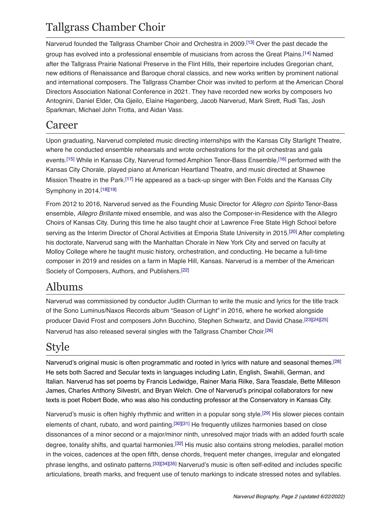## Tallgrass Chamber Choir

Narverud founded the Tallgrass Chamber Choir and Orchestra in 2009.[\[13\]](http://www.emporiagazette.com/news/article_ad4d52c4-f08c-11e2-95b1-10604b9f1ff4.html) Over the past decade the group has evolved into a professional ensemble of musicians from across the Great Plains[.\[14\]](http://www.osagecountyonline.com/archives/10917) Named after the Tallgrass Prairie National Preserve in the Flint Hills, their repertoire includes Gregorian chant, new editions of Renaissance and Baroque choral classics, and new works written by prominent national and international composers. The Tallgrass Chamber Choir was invited to perform at the American Choral Directors Association National Conference in 2021. They have recorded new works by composers Ivo Antognini, Daniel Elder, Ola Gjeilo, Elaine Hagenberg, Jacob Narverud, Mark Sirett, Rudi Tas, Josh Sparkman, Michael John Trotta, and Aidan Vass.

#### Career

Upon graduating, Narverud completed music directing internships with the Kansas City Starlight Theatre, where he conducted ensemble rehearsals and wrote orchestrations for the pit orchestras and gala events[.\[15\]](https://www.kcstarlight.com/about-us/history/broadway-shows) While in Kansas City, Narverud formed Amphion Tenor-Bass Ensemble,[\[16\]](https://info.umkc.edu/unews/amphion-gives-new-face-to-umkc-choirs/) performed with the Kansas City Chorale, played piano at American Heartland Theatre, and music directed at Shawnee Mission Theatre in the Park[.\[17\]](https://theatreinthepark.org/images/archive/2013-9TO5-The-Musical/9to5program.pdf) He appeared as a back-up singer with Ben Folds and the Kansas City Symphony in 2014.[\[18\]](https://www.thepitchkc.com/ben-folds-put-a-fresh-spin-on-the-kansas-city-symphony-last-night/)[\[19\]](https://www.youtube.com/watch?v=Alm35_1PibE)

From 2012 to 2016, Narverud served as the Founding Music Director for *Allegro con Spirito* Tenor-Bass ensemble, *Allegro Brillante* mixed ensemble, and was also the Composer-in-Residence with the Allegro Choirs of Kansas City. During this time he also taught choir at Lawrence Free State High School before serving as the Interim Director of Choral Activities at Emporia State University in 2015.[\[20\]](https://www.fsfreepressonline.com/news/2013/08/23/nineteen-new-teachers-enter-free-states-doors/) After completing his doctorate, Narverud sang with the Manhattan Chorale in New York City and served on faculty at Molloy College where he taught music history, orchestration, and conducting. He became a full-time composer in 2019 and resides on a farm in Maple Hill, Kansas. Narverud is a member of the American Society of Composers, Authors, and Publishers.[\[22\]](http://www.alliancemusic.com/peopledetails.cfm?iPeopleID=190)

## Albums

Narverud was commissioned by conductor Judith Clurman to write the music and lyrics for the title track of the Sono Luminus/Naxos Records album "Season of Light" in 2016, where he worked alongside producer David Frost and composers John Bucchino, Stephen Schwartz, and David Chase.[\[23\]](https://www.huffpost.com/entry/post_13783_b_13636780)[\[24\]](https://www.sonoluminus.com/store/season-of-light)[\[25\]](https://www.broadwayworld.com/bwwmusic/article/Judith-Clurmans-Essential-Voices-USA-to-Release-SEASON-OF-LIGHT-Holiday-Recording-20161110) Narverud has also released several singles with the Tallgrass Chamber Choir[.\[26\]](https://open.spotify.com/artist/1tsfeeZBsGTMDkNd7yMqDi)

## Style

Narverud's original music is often programmatic and rooted in lyrics with nature and seasonal themes[.\[28\]](https://www.jwpepper.com/Harvest/10586693.item#/submit) He sets both Sacred and Secular texts in languages including Latin, English, Swahili, German, and Italian. Narverud has set poems by Francis Ledwidge, Rainer Maria Rilke, Sara Teasdale, Bette Milleson James, Charles Anthony Silvestri, and Bryan Welch. One of Narverud's principal collaborators for new texts is poet Robert Bode, who was also his conducting professor at the Conservatory in Kansas City.

Narverud's music is often highly rhythmic and written in a popular song style.[\[29\]](https://sbmp.com/SR2.php?CatalogNumber=1338) His slower pieces contain elements of chant, rubato, and word painting[.\[30\]](https://acda.org/files/choral_journals/CJNov19.pdf)[\[31\]](https://www.jwpepper.com/Symbols/11193297.item#/submit) He frequently utilizes harmonies based on close dissonances of a minor second or a major/minor ninth, unresolved major triads with an added fourth scale degree, tonality shifts, and quartal harmonies[.\[32\]](https://www.jwpepper.com/A-Joyful-Noise/11193308.item#/submit) His music also contains strong melodies, parallel motion in the voices, cadences at the open fifth, dense chords, frequent meter changes, irregular and elongated phrase lengths, and ostinato patterns[.\[33\]](https://www.jwpepper.com/Exsultate/10956688.item#/submit)[\[34\]](https://www.giamusic.com/store/resource/o-salutaris-print-ww1792)[\[35\]](https://www.jwpepper.com/Healing-Heart/11165735.item#/submit) Narverud's music is often self-edited and includes specific articulations, breath marks, and frequent use of tenuto markings to indicate stressed notes and syllables.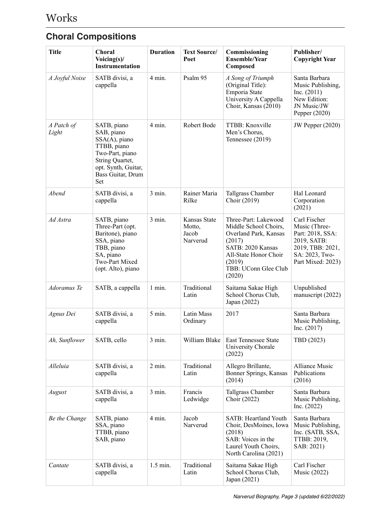## **Choral Compositions**

| <b>Title</b>        | <b>Choral</b><br>Voicing(s)/<br><b>Instrumentation</b>                                                                                             | <b>Duration</b>  | <b>Text Source/</b><br>Poet                 | Commissioning<br><b>Ensemble/Year</b><br>Composed                                                                                                                          | Publisher/<br><b>Copyright Year</b>                                                                                         |
|---------------------|----------------------------------------------------------------------------------------------------------------------------------------------------|------------------|---------------------------------------------|----------------------------------------------------------------------------------------------------------------------------------------------------------------------------|-----------------------------------------------------------------------------------------------------------------------------|
| A Joyful Noise      | SATB divisi, a<br>cappella                                                                                                                         | $4 \text{ min.}$ | Psalm 95                                    | A Song of Triumph<br>(Original Title):<br>Emporia State<br>University A Cappella<br>Choir, Kansas (2010)                                                                   | Santa Barbara<br>Music Publishing,<br>Inc. (2011)<br>New Edition:<br>JN Music/JW<br>Pepper (2020)                           |
| A Patch of<br>Light | SATB, piano<br>SAB, piano<br>SSA(A), piano<br>TTBB, piano<br>Two-Part, piano<br>String Quartet,<br>opt. Synth, Guitar,<br>Bass Guitar, Drum<br>Set | 4 min.           | Robert Bode                                 | TTBB: Knoxville<br>Men's Chorus,<br>Tennessee (2019)                                                                                                                       | JW Pepper (2020)                                                                                                            |
| Abend               | SATB divisi, a<br>cappella                                                                                                                         | 3 min.           | Rainer Maria<br>Rilke                       | Tallgrass Chamber<br>Choir (2019)                                                                                                                                          | Hal Leonard<br>Corporation<br>(2021)                                                                                        |
| Ad Astra            | SATB, piano<br>Three-Part (opt.<br>Baritone), piano<br>SSA, piano<br>TBB, piano<br>SA, piano<br>Two-Part Mixed<br>(opt. Alto), piano               | 3 min.           | Kansas State<br>Motto,<br>Jacob<br>Narverud | Three-Part: Lakewood<br>Middle School Choirs,<br>Overland Park, Kansas<br>(2017)<br>SATB: 2020 Kansas<br>All-State Honor Choir<br>(2019)<br>TBB: UConn Glee Club<br>(2020) | Carl Fischer<br>Music (Three-<br>Part: 2018, SSA:<br>2019, SATB:<br>2019, TBB: 2021,<br>SA: 2023, Two-<br>Part Mixed: 2023) |
| Adoramus Te         | SATB, a cappella                                                                                                                                   | 1 min.           | Traditional<br>Latin                        | Saitama Sakae High<br>School Chorus Club,<br>Japan (2022)                                                                                                                  | Unpublished<br>manuscript (2022)                                                                                            |
| Agnus Dei           | SATB divisi, a<br>cappella                                                                                                                         | 5 min.           | Latin Mass<br>Ordinary                      | 2017                                                                                                                                                                       | Santa Barbara<br>Music Publishing,<br>Inc. $(2017)$                                                                         |
| Ah, Sunflower       | SATB, cello                                                                                                                                        | $3$ min.         | William Blake                               | <b>East Tennessee State</b><br>University Chorale<br>(2022)                                                                                                                | TBD (2023)                                                                                                                  |
| Alleluia            | SATB divisi, a<br>cappella                                                                                                                         | $2 \text{ min.}$ | Traditional<br>Latin                        | Allegro Brillante,<br>Bonner Springs, Kansas<br>(2014)                                                                                                                     | <b>Alliance Music</b><br>Publications<br>(2016)                                                                             |
| August              | SATB divisi, a<br>cappella                                                                                                                         | $3$ min.         | Francis<br>Ledwidge                         | Tallgrass Chamber<br>Choir (2022)                                                                                                                                          | Santa Barbara<br>Music Publishing,<br>Inc. $(2022)$                                                                         |
| Be the Change       | SATB, piano<br>SSA, piano<br>TTBB, piano<br>SAB, piano                                                                                             | $4 \text{ min.}$ | Jacob<br>Narverud                           | <b>SATB: Heartland Youth</b><br>Choir, DesMoines, Iowa<br>(2018)<br>SAB: Voices in the<br>Laurel Youth Choirs,<br>North Carolina (2021)                                    | Santa Barbara<br>Music Publishing,<br>Inc. (SATB, SSA,<br>TTBB: 2019,<br>SAB: 2021)                                         |
| Cantate             | SATB divisi, a<br>cappella                                                                                                                         | 1.5 min.         | Traditional<br>Latin                        | Saitama Sakae High<br>School Chorus Club,<br>Japan (2021)                                                                                                                  | Carl Fischer<br>Music (2022)                                                                                                |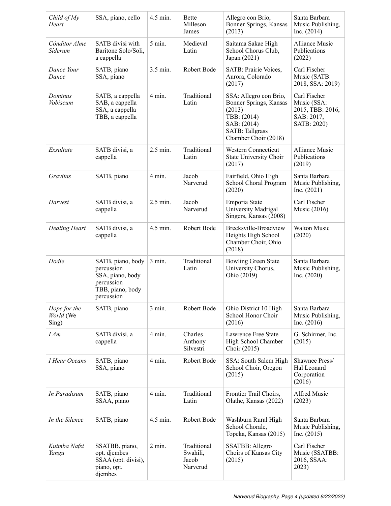| Child of My<br>Heart               | SSA, piano, cello                                                                                   | 4.5 min.          | <b>Bette</b><br>Milleson<br>James            | Allegro con Brio,<br>Bonner Springs, Kansas<br>(2013)                                                                                      | Santa Barbara<br>Music Publishing,<br>Inc. (2014)                            |
|------------------------------------|-----------------------------------------------------------------------------------------------------|-------------------|----------------------------------------------|--------------------------------------------------------------------------------------------------------------------------------------------|------------------------------------------------------------------------------|
| Cónditor Alme<br>Síderum           | SATB divisi with<br>Baritone Solo/Soli,<br>a cappella                                               | $5$ min.          | Medieval<br>Latin                            | Saitama Sakae High<br>School Chorus Club,<br>Japan (2021)                                                                                  | <b>Alliance Music</b><br>Publications<br>(2022)                              |
| Dance Your<br>Dance                | SATB, piano<br>SSA, piano                                                                           | 3.5 min.          | Robert Bode                                  | SATB: Prairie Voices,<br>Aurora, Colorado<br>(2017)                                                                                        | Carl Fischer<br>Music (SATB:<br>2018, SSA: 2019)                             |
| Dominus<br>Vobiscum                | SATB, a cappella<br>SAB, a cappella<br>SSA, a cappella<br>TBB, a cappella                           | $4 \text{ min}$ . | Traditional<br>Latin                         | SSA: Allegro con Brio,<br>Bonner Springs, Kansas<br>(2013)<br>TBB: (2014)<br>SAB: (2014)<br><b>SATB: Tallgrass</b><br>Chamber Choir (2018) | Carl Fischer<br>Music (SSA:<br>2015, TBB: 2016,<br>SAB: 2017,<br>SATB: 2020) |
| Exsultate                          | SATB divisi, a<br>cappella                                                                          | $2.5$ min.        | Traditional<br>Latin                         | <b>Western Connecticut</b><br>State University Choir<br>(2017)                                                                             | <b>Alliance Music</b><br>Publications<br>(2019)                              |
| Gravitas                           | SATB, piano                                                                                         | $4 \text{ min.}$  | Jacob<br>Narverud                            | Fairfield, Ohio High<br>School Choral Program<br>(2020)                                                                                    | Santa Barbara<br>Music Publishing,<br>Inc. (2021)                            |
| Harvest                            | SATB divisi, a<br>cappella                                                                          | 2.5 min.          | Jacob<br>Narverud                            | Emporia State<br>University Madrigal<br>Singers, Kansas (2008)                                                                             | Carl Fischer<br><b>Music</b> (2016)                                          |
| <b>Healing Heart</b>               | SATB divisi, a<br>cappella                                                                          | 4.5 min.          | Robert Bode                                  | Brecksville-Broadview<br>Heights High School<br>Chamber Choir, Ohio<br>(2018)                                                              | <b>Walton Music</b><br>(2020)                                                |
| Hodie                              | SATB, piano, body<br>percussion<br>SSA, piano, body<br>percussion<br>TBB, piano, body<br>percussion | $3$ min.          | Traditional<br>Latin                         | <b>Bowling Green State</b><br>University Chorus,<br>Ohio (2019)                                                                            | Santa Barbara<br>Music Publishing,<br>Inc. $(2020)$                          |
| Hope for the<br>World (We<br>Sing) | SATB, piano                                                                                         | $3$ min.          | Robert Bode                                  | Ohio District 10 High<br>School Honor Choir<br>(2016)                                                                                      | Santa Barbara<br>Music Publishing,<br>Inc. $(2016)$                          |
| I Am                               | SATB divisi, a<br>cappella                                                                          | 4 min.            | Charles<br>Anthony<br>Silvestri              | Lawrence Free State<br>High School Chamber<br>Choir (2015)                                                                                 | G. Schirmer, Inc.<br>(2015)                                                  |
| I Hear Oceans                      | SATB, piano<br>SSA, piano                                                                           | $4 \text{ min.}$  | Robert Bode                                  | SSA: South Salem High<br>School Choir, Oregon<br>(2015)                                                                                    | Shawnee Press/<br>Hal Leonard<br>Corporation<br>(2016)                       |
| In Paradisum                       | SATB, piano<br>SSAA, piano                                                                          | $4 \text{ min.}$  | Traditional<br>Latin                         | Frontier Trail Choirs,<br>Olathe, Kansas (2022)                                                                                            | Alfred Music<br>(2023)                                                       |
| In the Silence                     | SATB, piano                                                                                         | 4.5 min.          | Robert Bode                                  | Washburn Rural High<br>School Chorale,<br>Topeka, Kansas (2015)                                                                            | Santa Barbara<br>Music Publishing,<br>Inc. $(2015)$                          |
| Kuimba Nafsi<br>Yangu              | SSATBB, piano,<br>opt. djembes<br>SSAA (opt. divisi),<br>piano, opt.<br>djembes                     | $2 \text{ min.}$  | Traditional<br>Swahili,<br>Jacob<br>Narverud | SSATBB: Allegro<br>Choirs of Kansas City<br>(2015)                                                                                         | Carl Fischer<br>Music (SSATBB:<br>2016, SSAA:<br>2023)                       |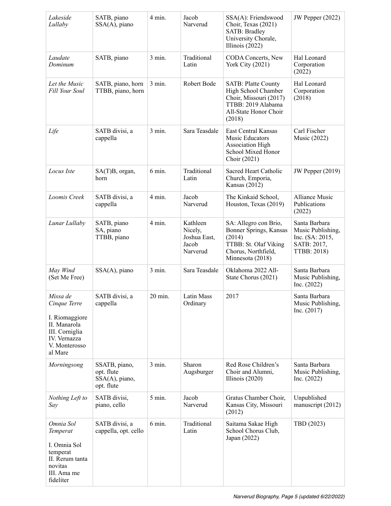| Lakeside<br>Lullaby                                                                                                      | SATB, piano<br>$SSA(A)$ , piano                             | 4 min.           | Jacob<br>Narverud                                        | SSA(A): Friendswood<br>Choir, Texas (2021)<br>SATB: Bradley<br>University Chorale,<br>Illinois $(2022)$                              | JW Pepper (2022)                                                                    |
|--------------------------------------------------------------------------------------------------------------------------|-------------------------------------------------------------|------------------|----------------------------------------------------------|--------------------------------------------------------------------------------------------------------------------------------------|-------------------------------------------------------------------------------------|
| Laudate<br>Dominum                                                                                                       | SATB, piano                                                 | $3$ min.         | Traditional<br>Latin                                     | <b>CODA Concerts, New</b><br><b>York City (2021)</b>                                                                                 | Hal Leonard<br>Corporation<br>(2022)                                                |
| Let the Music<br>Fill Your Soul                                                                                          | SATB, piano, horn<br>TTBB, piano, horn                      | $3$ min.         | Robert Bode                                              | <b>SATB: Platte County</b><br>High School Chamber<br>Choir, Missouri (2017)<br>TTBB: 2019 Alabama<br>All-State Honor Choir<br>(2018) | Hal Leonard<br>Corporation<br>(2018)                                                |
| Life                                                                                                                     | SATB divisi, a<br>cappella                                  | $3$ min.         | Sara Teasdale                                            | East Central Kansas<br>Music Educators<br><b>Association High</b><br>School Mixed Honor<br>Choir (2021)                              | Carl Fischer<br><b>Music</b> (2022)                                                 |
| Locus Iste                                                                                                               | SA(T)B, organ,<br>horn                                      | 6 min.           | Traditional<br>Latin                                     | Sacred Heart Catholic<br>Church, Emporia,<br>Kansas (2012)                                                                           | <b>JW Pepper (2019)</b>                                                             |
| Loomis Creek                                                                                                             | SATB divisi, a<br>cappella                                  | $4 \text{ min.}$ | Jacob<br>Narverud                                        | The Kinkaid School,<br>Houston, Texas (2019)                                                                                         | <b>Alliance Music</b><br>Publications<br>(2022)                                     |
| Lunar Lullaby                                                                                                            | SATB, piano<br>SA, piano<br>TTBB, piano                     | 4 min.           | Kathleen<br>Nicely,<br>Joshua East,<br>Jacob<br>Narverud | SA: Allegro con Brio,<br>Bonner Springs, Kansas<br>(2014)<br>TTBB: St. Olaf Viking<br>Chorus, Northfield,<br>Minnesota (2018)        | Santa Barbara<br>Music Publishing,<br>Inc. (SA: 2015,<br>SATB: 2017,<br>TTBB: 2018) |
| May Wind<br>(Set Me Free)                                                                                                | SSA(A), piano                                               | $3$ min.         | Sara Teasdale                                            | Oklahoma 2022 All-<br>State Chorus (2021)                                                                                            | Santa Barbara<br>Music Publishing,<br>Inc. $(2022)$                                 |
| Missa de<br>Cinque Terre<br>I. Riomaggiore<br>II. Manarola<br>III. Corniglia<br>IV. Vernazza<br>V. Monterosso<br>al Mare | SATB divisi, a<br>cappella                                  | 20 min.          | Latin Mass<br>Ordinary                                   | 2017                                                                                                                                 | Santa Barbara<br>Music Publishing,<br>Inc. $(2017)$                                 |
| Morningsong                                                                                                              | SSATB, piano,<br>opt. flute<br>SSA(A), piano,<br>opt. flute | $3$ min.         | Sharon<br>Augsburger                                     | Red Rose Children's<br>Choir and Alumni,<br>Illinois $(2020)$                                                                        | Santa Barbara<br>Music Publishing,<br>Inc. $(2022)$                                 |
| Nothing Left to<br>Say                                                                                                   | SATB divisi,<br>piano, cello                                | $5 \text{ min.}$ | Jacob<br>Narverud                                        | Gratus Chamber Choir,<br>Kansas City, Missouri<br>(2012)                                                                             | Unpublished<br>manuscript (2012)                                                    |
| Omnia Sol<br>Temperat<br>I. Omnia Sol<br>temperat<br>II. Rerum tanta<br>novitas<br>III. Ama me<br>fideliter              | SATB divisi, a<br>cappella, opt. cello                      | $6 \text{ min.}$ | Traditional<br>Latin                                     | Saitama Sakae High<br>School Chorus Club,<br>Japan (2022)                                                                            | TBD (2023)                                                                          |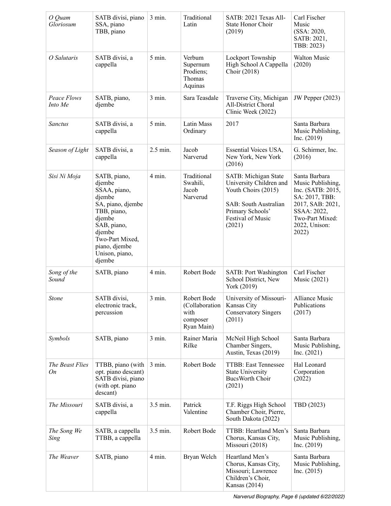| O Quam<br>Gloriosum    | SATB divisi, piano<br>SSA, piano<br>TBB, piano                                                                                                                                          | 3 min.           | Traditional<br>Latin                                             | SATB: 2021 Texas All-<br>State Honor Choir<br>(2019)                                                                                               | Carl Fischer<br>Music<br>(SSA: 2020,<br>SATB: 2021,<br>TBB: 2023)                                                                                         |
|------------------------|-----------------------------------------------------------------------------------------------------------------------------------------------------------------------------------------|------------------|------------------------------------------------------------------|----------------------------------------------------------------------------------------------------------------------------------------------------|-----------------------------------------------------------------------------------------------------------------------------------------------------------|
| O Salutaris            | SATB divisi, a<br>cappella                                                                                                                                                              | $5 \text{ min.}$ | Verbum<br>Supernum<br>Prodiens;<br>Thomas<br>Aquinas             | Lockport Township<br>High School A Cappella<br>Choir (2018)                                                                                        | Walton Music<br>(2020)                                                                                                                                    |
| Peace Flows<br>Into Me | SATB, piano,<br>djembe                                                                                                                                                                  | 3 min.           | Sara Teasdale                                                    | Traverse City, Michigan<br><b>All-District Choral</b><br>Clinic Week (2022)                                                                        | JW Pepper (2023)                                                                                                                                          |
| <b>Sanctus</b>         | SATB divisi, a<br>cappella                                                                                                                                                              | $5$ min.         | Latin Mass<br>Ordinary                                           | 2017                                                                                                                                               | Santa Barbara<br>Music Publishing,<br>Inc. $(2019)$                                                                                                       |
| Season of Light        | SATB divisi, a<br>cappella                                                                                                                                                              | 2.5 min.         | Jacob<br>Narverud                                                | Essential Voices USA,<br>New York, New York<br>(2016)                                                                                              | G. Schirmer, Inc.<br>(2016)                                                                                                                               |
| Sisi Ni Moja           | SATB, piano,<br>djembe<br>SSAA, piano,<br>djembe<br>SA, piano, djembe<br>TBB, piano,<br>djembe<br>SAB, piano,<br>djembe<br>Two-Part Mixed,<br>piano, djembe<br>Unison, piano,<br>djembe | $4 \text{ min.}$ | Traditional<br>Swahili,<br>Jacob<br>Narverud                     | SATB: Michigan State<br>University Children and<br>Youth Choirs (2015)<br>SAB: South Australian<br>Primary Schools'<br>Festival of Music<br>(2021) | Santa Barbara<br>Music Publishing,<br>Inc. (SATB: 2015,<br>SA: 2017, TBB:<br>2017, SAB: 2021,<br>SSAA: 2022,<br>Two-Part Mixed:<br>2022, Unison:<br>2022) |
| Song of the<br>Sound   | SATB, piano                                                                                                                                                                             | $4 \text{ min.}$ | Robert Bode                                                      | <b>SATB: Port Washington</b><br>School District, New<br>York (2019)                                                                                | Carl Fischer<br><b>Music</b> (2021)                                                                                                                       |
| Stone                  | SATB divisi,<br>electronic track,<br>percussion                                                                                                                                         | 3 min.           | Robert Bode<br>(Collaboration)<br>with<br>composer<br>Ryan Main) | University of Missouri-<br>Kansas City<br><b>Conservatory Singers</b><br>(2011)                                                                    | Alliance Music<br>Publications<br>(2017)                                                                                                                  |
| Symbols                | SATB, piano                                                                                                                                                                             | $3$ min.         | Rainer Maria<br>Rilke                                            | McNeil High School<br>Chamber Singers,<br>Austin, Texas (2019)                                                                                     | Santa Barbara<br>Music Publishing,<br>Inc. $(2021)$                                                                                                       |
| The Beast Flies<br>On  | TTBB, piano (with<br>opt. piano descant)<br>SATB divisi, piano<br>(with opt. piano<br>descant)                                                                                          | $3$ min.         | Robert Bode                                                      | TTBB: East Tennessee<br><b>State University</b><br>BucsWorth Choir<br>(2021)                                                                       | Hal Leonard<br>Corporation<br>(2022)                                                                                                                      |
| The Missouri           | SATB divisi, a<br>cappella                                                                                                                                                              | 3.5 min.         | Patrick<br>Valentine                                             | T.F. Riggs High School<br>Chamber Choir, Pierre,<br>South Dakota (2022)                                                                            | TBD (2023)                                                                                                                                                |
| The Song We<br>Sing    | SATB, a cappella<br>TTBB, a cappella                                                                                                                                                    | 3.5 min.         | Robert Bode                                                      | TTBB: Heartland Men's<br>Chorus, Kansas City,<br>Missouri (2018)                                                                                   | Santa Barbara<br>Music Publishing,<br>Inc. $(2019)$                                                                                                       |
| The Weaver             | SATB, piano                                                                                                                                                                             | $4 \text{ min.}$ | Bryan Welch                                                      | Heartland Men's<br>Chorus, Kansas City,<br>Missouri; Lawrence<br>Children's Choir,<br>Kansas (2014)                                                | Santa Barbara<br>Music Publishing,<br>Inc. (2015)                                                                                                         |

*Narverud Biography, Page 6 (updated 6/22/2022)*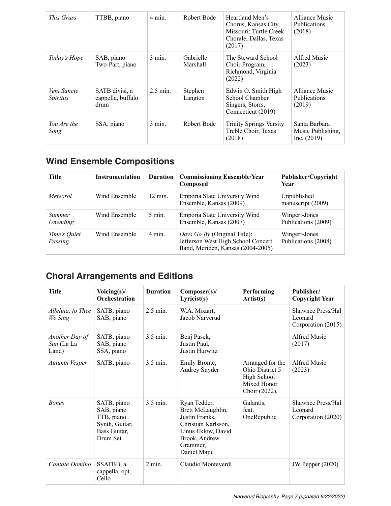| <i>This Grass</i>              | TTBB, piano                                 | $4 \text{ min}$ . | Robert Bode           | Heartland Men's<br>Chorus, Kansas City,<br>Missouri; Turtle Creek<br>Chorale, Dallas, Texas<br>(2017) | Alliance Music<br><b>Publications</b><br>(2018)   |
|--------------------------------|---------------------------------------------|-------------------|-----------------------|-------------------------------------------------------------------------------------------------------|---------------------------------------------------|
| Today's Hope                   | SAB, piano<br>Two-Part, piano               | $3 \text{ min}$ . | Gabrielle<br>Marshall | The Steward School<br>Choir Program,<br>Richmond, Virginia<br>(2022)                                  | Alfred Music<br>(2023)                            |
| Veni Sancte<br><i>Spiritus</i> | SATB divisi, a<br>cappella, buffalo<br>drum | $2.5$ min.        | Stephen<br>Langton    | Edwin O. Smith High<br>School Chamber<br>Singers, Storrs,<br>Connecticut (2019)                       | Alliance Music<br><b>Publications</b><br>(2019)   |
| You Are the<br>Song            | SSA, piano                                  | $3 \text{ min}$ . | Robert Bode           | <b>Trinity Springs Varsity</b><br>Treble Choir, Texas<br>(2018)                                       | Santa Barbara<br>Music Publishing.<br>Inc. (2019) |

### **Wind Ensemble Compositions**

| Title                     | <b>Instrumentation</b> | <b>Duration</b>   | <b>Commissioning Ensemble/Year</b><br>Composed                                                          | Publisher/Copyright<br>Year          |
|---------------------------|------------------------|-------------------|---------------------------------------------------------------------------------------------------------|--------------------------------------|
| <i>Meteorol</i>           | Wind Ensemble          | $12 \text{ min.}$ | Emporia State University Wind<br>Ensemble, Kansas (2009)                                                | Unpublished<br>manuscript (2009)     |
| <b>Summer</b><br>Unending | Wind Ensemble          | $5 \text{ min.}$  | Emporia State University Wind<br>Ensemble, Kansas (2007)                                                | Wingert-Jones<br>Publications (2009) |
| Time's Quiet<br>Passing   | Wind Ensemble          | $4 \text{ min}$ . | Days Go By (Original Title):<br>Jefferson West High School Concert<br>Band, Meriden, Kansas (2004-2005) | Wingert-Jones<br>Publications (2008) |

### **Choral Arrangements and Editions**

| <b>Title</b>                          | Voicing $(s)$ /<br>Orchestration                                                      | <b>Duration</b> | Composer(s)/<br>Lyricist(s)                                                                                                                   | Performing<br>Artist(s)                                                            | Publisher/<br><b>Copyright Year</b>                |
|---------------------------------------|---------------------------------------------------------------------------------------|-----------------|-----------------------------------------------------------------------------------------------------------------------------------------------|------------------------------------------------------------------------------------|----------------------------------------------------|
| Alleluia, to Thee<br>We Sing          | SATB, piano<br>SAB, piano                                                             | 2.5 min.        | W.A. Mozart,<br>Jacob Narverud                                                                                                                |                                                                                    | Shawnee Press/Hal<br>Leonard<br>Corporation (2015) |
| Another Day of<br>Sun (La La<br>Land) | SATB, piano<br>SAB, piano<br>SSA, piano                                               | $3.5$ min.      | Benj Pasek,<br>Justin Paul,<br>Justin Hurwitz                                                                                                 |                                                                                    | Alfred Music<br>(2017)                             |
| Autumn Vesper                         | SATB, piano                                                                           | 3.5 min.        | Emily Brontë,<br>Audrey Snyder                                                                                                                | Arranged for the<br>Ohio District 5<br>High School<br>Mixed Honor<br>Choir (2022). | Alfred Music<br>(2023)                             |
| <b>Bones</b>                          | SATB, piano<br>SAB, piano<br>TTB, piano<br>Synth, Guitar,<br>Bass Guitar,<br>Drum Set | 3.5 min.        | Ryan Tedder,<br>Brett McLaughlin,<br>Justin Franks,<br>Christian Karlsson,<br>Linus Eklow, David<br>Brook, Andrew<br>Grammer,<br>Daniel Majic | Galantis,<br>feat.<br>OneRepublic                                                  | Shawnee Press/Hal<br>Leonard<br>Corporation (2020) |
| Cantate Domino                        | SSATBB, a<br>cappella, opt.<br>Cello                                                  | $2$ min.        | Claudio Monteverdi                                                                                                                            |                                                                                    | <b>JW Pepper (2020)</b>                            |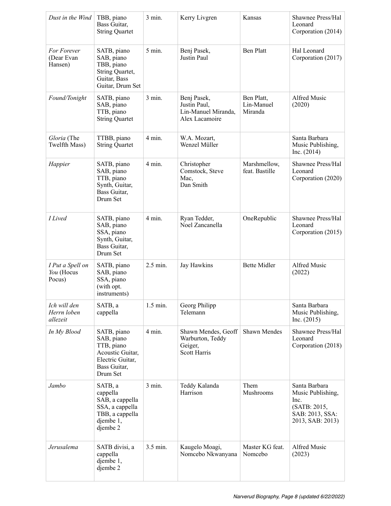| Dust in the Wind                         | TBB, piano<br>Bass Guitar,<br><b>String Quartet</b>                                                         | 3 min.           | Kerry Livgren                                                             | Kansas                              | Shawnee Press/Hal<br>Leonard<br>Corporation (2014)                                                |
|------------------------------------------|-------------------------------------------------------------------------------------------------------------|------------------|---------------------------------------------------------------------------|-------------------------------------|---------------------------------------------------------------------------------------------------|
| For Forever<br>(Dear Evan<br>Hansen)     | SATB, piano<br>SAB, piano<br>TBB, piano<br>String Quartet,<br>Guitar, Bass<br>Guitar, Drum Set              | 5 min.           | Benj Pasek,<br>Justin Paul                                                | <b>Ben Platt</b>                    | Hal Leonard<br>Corporation (2017)                                                                 |
| Found/Tonight                            | SATB, piano<br>SAB, piano<br>TTB, piano<br><b>String Quartet</b>                                            | $3$ min.         | Benj Pasek,<br>Justin Paul,<br>Lin-Manuel Miranda,<br>Alex Lacamoire      | Ben Platt,<br>Lin-Manuel<br>Miranda | Alfred Music<br>(2020)                                                                            |
| Gloria (The<br>Twelfth Mass)             | TTBB, piano<br><b>String Quartet</b>                                                                        | 4 min.           | W.A. Mozart,<br>Wenzel Müller                                             |                                     | Santa Barbara<br>Music Publishing,<br>Inc. $(2014)$                                               |
| Happier                                  | SATB, piano<br>SAB, piano<br>TTB, piano<br>Synth, Guitar,<br>Bass Guitar,<br>Drum Set                       | 4 min.           | Christopher<br>Comstock, Steve<br>Mac,<br>Dan Smith                       | Marshmellow,<br>feat. Bastille      | Shawnee Press/Hal<br>Leonard<br>Corporation (2020)                                                |
| <b>I</b> Lived                           | SATB, piano<br>SAB, piano<br>SSA, piano<br>Synth, Guitar,<br>Bass Guitar,<br>Drum Set                       | 4 min.           | Ryan Tedder,<br>Noel Zancanella                                           | OneRepublic                         | Shawnee Press/Hal<br>Leonard<br>Corporation (2015)                                                |
| I Put a Spell on<br>You (Hocus<br>Pocus) | SATB, piano<br>SAB, piano<br>SSA, piano<br>(with opt.<br>instruments)                                       | 2.5 min.         | Jay Hawkins                                                               | <b>Bette Midler</b>                 | Alfred Music<br>(2022)                                                                            |
| Ich will den<br>Herrn loben<br>allezeit  | SATB, a<br>cappella                                                                                         | 1.5 min.         | Georg Philipp<br>Telemann                                                 |                                     | Santa Barbara<br>Music Publishing,<br>Inc. $(2015)$                                               |
| In My Blood                              | SATB, piano<br>SAB, piano<br>TTB, piano<br>Acoustic Guitar,<br>Electric Guitar,<br>Bass Guitar,<br>Drum Set | $4 \text{ min.}$ | Shawn Mendes, Geoff<br>Warburton, Teddy<br>Geiger,<br><b>Scott Harris</b> | <b>Shawn Mendes</b>                 | Shawnee Press/Hal<br>Leonard<br>Corporation (2018)                                                |
| Jambo                                    | SATB, a<br>cappella<br>SAB, a cappella<br>SSA, a cappella<br>TBB, a cappella<br>djembe 1,<br>djembe 2       | $3 \text{ min.}$ | Teddy Kalanda<br>Harrison                                                 | Them<br>Mushrooms                   | Santa Barbara<br>Music Publishing,<br>Inc.<br>(SATB: 2015,<br>SAB: 2013, SSA:<br>2013, SAB: 2013) |
| Jerusalema                               | SATB divisi, a<br>cappella<br>djembe 1,<br>djembe 2                                                         | 3.5 min.         | Kaugelo Moagi,<br>Nomcebo Nkwanyana                                       | Master KG feat.<br>Nomcebo          | Alfred Music<br>(2023)                                                                            |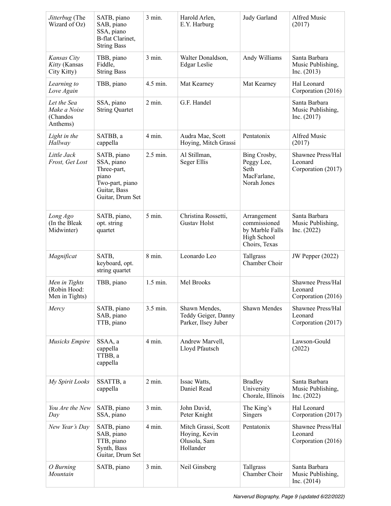| Jitterbug (The<br>Wizard of Oz)                     | SATB, piano<br>SAB, piano<br>SSA, piano<br><b>B-flat Clarinet,</b><br><b>String Bass</b>                 | 3 min.           | Harold Arlen,<br>E.Y. Harburg                                     | Judy Garland                                                                   | Alfred Music<br>(2017)                              |
|-----------------------------------------------------|----------------------------------------------------------------------------------------------------------|------------------|-------------------------------------------------------------------|--------------------------------------------------------------------------------|-----------------------------------------------------|
| Kansas City<br>Kitty (Kansas<br>City Kitty)         | TBB, piano<br>Fiddle,<br><b>String Bass</b>                                                              | $3$ min.         | Walter Donaldson,<br><b>Edgar Leslie</b>                          | Andy Williams                                                                  | Santa Barbara<br>Music Publishing,<br>Inc. (2013)   |
| Learning to<br>Love Again                           | TBB, piano                                                                                               | 4.5 min.         | Mat Kearney                                                       | Mat Kearney                                                                    | Hal Leonard<br>Corporation (2016)                   |
| Let the Sea<br>Make a Noise<br>(Chandos<br>Anthems) | SSA, piano<br><b>String Quartet</b>                                                                      | $2 \text{ min.}$ | G.F. Handel                                                       |                                                                                | Santa Barbara<br>Music Publishing,<br>Inc. $(2017)$ |
| Light in the<br>Hallway                             | SATBB, a<br>cappella                                                                                     | 4 min.           | Audra Mae, Scott<br>Hoying, Mitch Grassi                          | Pentatonix                                                                     | Alfred Music<br>(2017)                              |
| Little Jack<br>Frost, Get Lost                      | SATB, piano<br>SSA, piano<br>Three-part,<br>piano<br>Two-part, piano<br>Guitar, Bass<br>Guitar, Drum Set | 2.5 min.         | Al Stillman,<br>Seger Ellis                                       | Bing Crosby,<br>Peggy Lee,<br>Seth<br>MacFarlane,<br>Norah Jones               | Shawnee Press/Hal<br>Leonard<br>Corporation (2017)  |
| Long Ago<br>(In the Bleak<br>Midwinter)             | SATB, piano,<br>opt. string<br>quartet                                                                   | $5 \text{ min.}$ | Christina Rossetti,<br><b>Gustav Holst</b>                        | Arrangement<br>commissioned<br>by Marble Falls<br>High School<br>Choirs, Texas | Santa Barbara<br>Music Publishing,<br>Inc. $(2022)$ |
| Magnificat                                          | SATB,<br>keyboard, opt.<br>string quartet                                                                | 8 min.           | Leonardo Leo                                                      | Tallgrass<br>Chamber Choir                                                     | JW Pepper (2022)                                    |
| Men in Tights<br>(Robin Hood:<br>Men in Tights)     | TBB, piano                                                                                               | 1.5 min.         | Mel Brooks                                                        |                                                                                | Shawnee Press/Hal<br>Leonard<br>Corporation (2016)  |
| Mercy                                               | SATB, piano<br>SAB, piano<br>TTB, piano                                                                  | 3.5 min.         | Shawn Mendes,<br>Teddy Geiger, Danny<br>Parker, Ilsey Juber       | Shawn Mendes                                                                   | Shawnee Press/Hal<br>Leonard<br>Corporation (2017)  |
| <b>Musicks Empire</b>                               | SSAA, a<br>cappella<br>TTBB, a<br>cappella                                                               | 4 min.           | Andrew Marvell,<br>Lloyd Pfautsch                                 |                                                                                | Lawson-Gould<br>(2022)                              |
| My Spirit Looks                                     | SSATTB, a<br>cappella                                                                                    | $2$ min.         | Issac Watts,<br>Daniel Read                                       | <b>Bradley</b><br>University<br>Chorale, Illinois                              | Santa Barbara<br>Music Publishing,<br>Inc. $(2022)$ |
| You Are the New<br>Day                              | SATB, piano<br>SSA, piano                                                                                | $3 \text{ min.}$ | John David,<br>Peter Knight                                       | The King's<br>Singers                                                          | Hal Leonard<br>Corporation (2017)                   |
| New Year's Day                                      | SATB, piano<br>SAB, piano<br>TTB, piano<br>Synth, Bass<br>Guitar, Drum Set                               | $4 \text{ min.}$ | Mitch Grassi, Scott<br>Hoying, Kevin<br>Olusola, Sam<br>Hollander | Pentatonix                                                                     | Shawnee Press/Hal<br>Leonard<br>Corporation (2016)  |
| O Burning<br>Mountain                               | SATB, piano                                                                                              | $3$ min.         | Neil Ginsberg                                                     | Tallgrass<br>Chamber Choir                                                     | Santa Barbara<br>Music Publishing,<br>Inc. $(2014)$ |

*Narverud Biography, Page 9 (updated 6/22/2022)*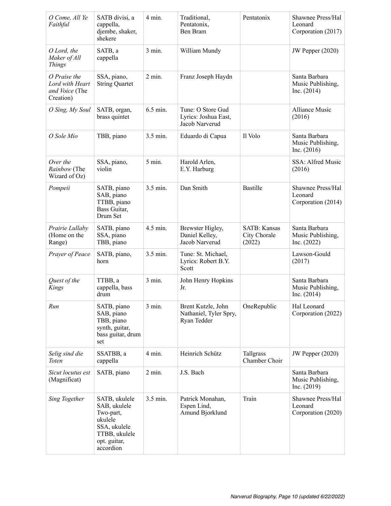| O Come, All Ye<br>Faithful                                     | SATB divisi, a<br>cappella,<br>djembe, shaker,<br>shekere                                                           | 4 min.            | Traditional,<br>Pentatonix,<br>Ben Bram                     | Pentatonix                                    | Shawnee Press/Hal<br>Leonard<br>Corporation (2017)  |
|----------------------------------------------------------------|---------------------------------------------------------------------------------------------------------------------|-------------------|-------------------------------------------------------------|-----------------------------------------------|-----------------------------------------------------|
| O Lord, the<br>Maker of All<br><b>Things</b>                   | SATB, a<br>cappella                                                                                                 | 3 min.            | William Mundy                                               |                                               | <b>JW Pepper (2020)</b>                             |
| O Praise the<br>Lord with Heart<br>and Voice (The<br>Creation) | SSA, piano,<br><b>String Quartet</b>                                                                                | $2$ min.          | Franz Joseph Haydn                                          |                                               | Santa Barbara<br>Music Publishing,<br>Inc. $(2014)$ |
| O Sing, My Soul                                                | SATB, organ,<br>brass quintet                                                                                       | 6.5 min.          | Tune: O Store Gud<br>Lyrics: Joshua East,<br>Jacob Narverud |                                               | <b>Alliance Music</b><br>(2016)                     |
| O Sole Mio                                                     | TBB, piano                                                                                                          | 3.5 min.          | Eduardo di Capua                                            | Il Volo                                       | Santa Barbara<br>Music Publishing,<br>Inc. $(2016)$ |
| Over the<br>Rainbow (The<br>Wizard of Oz)                      | SSA, piano,<br>violin                                                                                               | $5$ min.          | Harold Arlen,<br>E.Y. Harburg                               |                                               | SSA: Alfred Music<br>(2016)                         |
| Pompeii                                                        | SATB, piano<br>SAB, piano<br>TTBB, piano<br>Bass Guitar,<br>Drum Set                                                | 3.5 min.          | Dan Smith                                                   | <b>Bastille</b>                               | Shawnee Press/Hal<br>Leonard<br>Corporation (2014)  |
| Prairie Lullaby<br>(Home on the<br>Range)                      | SATB, piano<br>SSA, piano<br>TBB, piano                                                                             | 4.5 min.          | Brewster Higley,<br>Daniel Kelley,<br>Jacob Narverud        | <b>SATB: Kansas</b><br>City Chorale<br>(2022) | Santa Barbara<br>Music Publishing,<br>Inc. $(2022)$ |
| Prayer of Peace                                                | SATB, piano,<br>horn                                                                                                | 3.5 min.          | Tune: St. Michael,<br>Lyrics: Robert B.Y.<br>Scott          |                                               | Lawson-Gould<br>(2017)                              |
| Quest of the<br>Kings                                          | TTBB, a<br>cappella, bass<br>drum                                                                                   | 3 min.            | John Henry Hopkins<br>Jr.                                   |                                               | Santa Barbara<br>Music Publishing,<br>Inc. $(2014)$ |
| Run                                                            | SATB, piano<br>SAB, piano<br>TBB, piano<br>synth, guitar,<br>bass guitar, drum<br>set                               | $3$ min.          | Brent Kutzle, John<br>Nathaniel, Tyler Spry,<br>Ryan Tedder | OneRepublic                                   | Hal Leonard<br>Corporation (2022)                   |
| Selig sind die<br><b>Toten</b>                                 | SSATBB, a<br>cappella                                                                                               | $4 \text{ min}$ . | Heinrich Schütz                                             | Tallgrass<br>Chamber Choir                    | <b>JW Pepper (2020)</b>                             |
| Sicut locutus est<br>(Magnificat)                              | SATB, piano                                                                                                         | $2 \text{ min.}$  | J.S. Bach                                                   |                                               | Santa Barbara<br>Music Publishing,<br>Inc. $(2019)$ |
| Sing Together                                                  | SATB, ukulele<br>SAB, ukulele<br>Two-part,<br>ukulele<br>SSA, ukulele<br>TTBB, ukulele<br>opt. guitar,<br>accordion | 3.5 min.          | Patrick Monahan,<br>Espen Lind,<br>Amund Bjorklund          | Train                                         | Shawnee Press/Hal<br>Leonard<br>Corporation (2020)  |